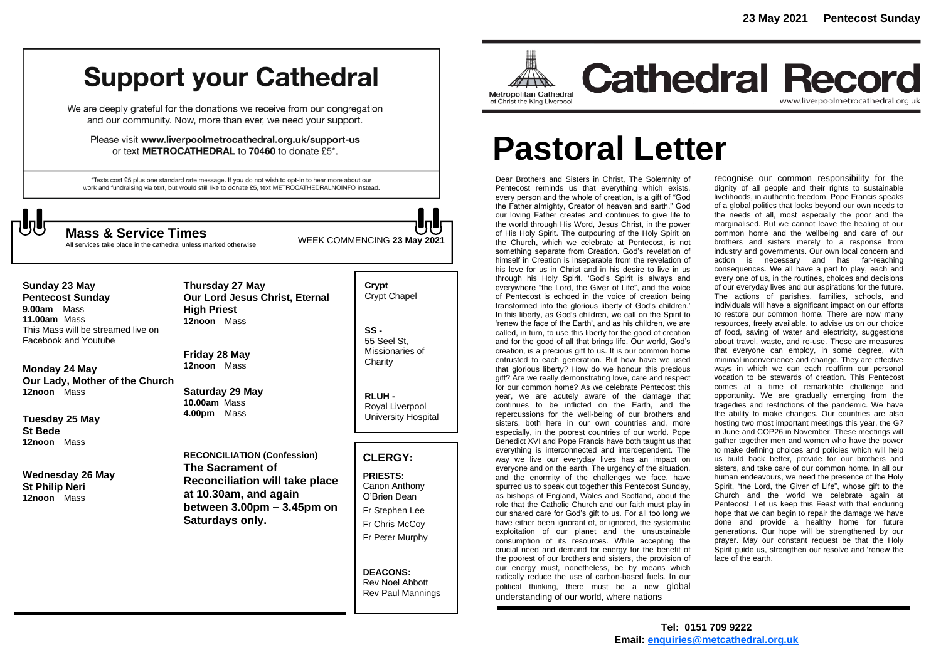## **Support your Cathedral**

We are deeply grateful for the donations we receive from our congregation and our community. Now, more than ever, we need your support.

Please visit www.liverpoolmetrocathedral.org.uk/support-us or text METROCATHEDRAL to 70460 to donate £5\*.

\*Texts cost £5 plus one standard rate message. If you do not wish to opt-in to hear more about our work and fundraising via text, but would still like to donate £5, text METROCATHEDRALNOINFO instead.



WEEK COMMENCING **<sup>23</sup> May <sup>2021</sup> Mass & Service Times**

All services take place in the cathedral unless marked otherwise

#### **Crypt**  Crypt Chapel **SS -** 55 Seel St, Missionaries of **Charity RLUH -** Royal Liverpool University Hospital **CLERGY: PRIESTS:** Canon Anthony O'Brien *Dean* Fr Stephen Lee Fr Chris McCoy Fr Peter Murphy **DEACONS: Sunday 23 May Pentecost Sunday 9.00am** Mass **11.00am** Mass This Mass will be streamed live on Facebook and Youtube **Monday 24 May Our Lady, Mother of the Church 12noon** Mass **Tuesday 25 May St Bede 12noon** Mass **Wednesday 26 May St Philip Neri 12noon** Mass **Thursday 27 May Our Lord Jesus Christ, Eternal High Priest 12noon** Mass **Friday 28 May 12noon** Mass **Saturday 29 May 10.00am** Mass **4.00pm** Mass **RECONCILIATION (Confession) The Sacrament of Reconciliation will take place at 10.30am, and again between 3.00pm – 3.45pm on Saturdays only.**

Rev Noel Abbott Rev Paul Mannings



**Cathedral Record** www.liverpoolmetrocathedral.org.ul

# **Pastoral Letter**

Dear Brothers and Sisters in Christ, The Solemnity of Pentecost reminds us that everything which exists, every person and the whole of creation, is a gift of "God the Father almighty, Creator of heaven and earth." God our loving Father creates and continues to give life to the world through His Word, Jesus Christ, in the power of His Holy Spirit. The outpouring of the Holy Spirit on the Church, which we celebrate at Pentecost, is not something separate from Creation. God's revelation of himself in Creation is inseparable from the revelation of his love for us in Christ and in his desire to live in us through his Holy Spirit. 'God's Spirit is always and everywhere "the Lord, the Giver of Life", and the voice of Pentecost is echoed in the voice of creation being transformed into the glorious liberty of God's children.' In this liberty, as God's children, we call on the Spirit to 'renew the face of the Earth', and as his children, we are called, in turn, to use this liberty for the good of creation and for the good of all that brings life. Our world, God's creation, is a precious gift to us. It is our common home entrusted to each generation. But how have we used that glorious liberty? How do we honour this precious gift? Are we really demonstrating love, care and respect for our common home? As we celebrate Pentecost this year, we are acutely aware of the damage that continues to be inflicted on the Earth, and the repercussions for the well-being of our brothers and sisters, both here in our own countries and, more especially, in the poorest countries of our world. Pope Benedict XVI and Pope Francis have both taught us that everything is interconnected and interdependent. The way we live our everyday lives has an impact on everyone and on the earth. The urgency of the situation, and the enormity of the challenges we face, have spurred us to speak out together this Pentecost Sunday, as bishops of England, Wales and Scotland, about the role that the Catholic Church and our faith must play in our shared care for God's gift to us. For all too long we have either been ignorant of, or ignored, the systematic exploitation of our planet and the unsustainable consumption of its resources. While accepting the crucial need and demand for energy for the benefit of the poorest of our brothers and sisters, the provision of our energy must, nonetheless, be by means which radically reduce the use of carbon-based fuels. In our political thinking, there must be a new global understanding of our world, where nations

recognise our common responsibility for the dignity of all people and their rights to sustainable livelihoods, in authentic freedom. Pope Francis speaks of a global politics that looks beyond our own needs to the needs of all, most especially the poor and the marginalised. But we cannot leave the healing of our common home and the wellbeing and care of our brothers and sisters merely to a response from industry and governments. Our own local concern and action is necessary and has far-reaching consequences. We all have a part to play, each and every one of us, in the routines, choices and decisions of our everyday lives and our aspirations for the future. The actions of parishes, families, schools, and individuals will have a significant impact on our efforts to restore our common home. There are now many resources, freely available, to advise us on our choice of food, saving of water and electricity, suggestions about travel, waste, and re-use. These are measures that everyone can employ, in some degree, with minimal inconvenience and change. They are effective ways in which we can each reaffirm our personal vocation to be stewards of creation. This Pentecost comes at a time of remarkable challenge and opportunity. We are gradually emerging from the tragedies and restrictions of the pandemic. We have the ability to make changes. Our countries are also hosting two most important meetings this year, the G7 in June and COP26 in November. These meetings will gather together men and women who have the power to make defining choices and policies which will help us build back better, provide for our brothers and sisters, and take care of our common home. In all our human endeavours, we need the presence of the Holy Spirit, "the Lord, the Giver of Life", whose gift to the Church and the world we celebrate again at Pentecost. Let us keep this Feast with that enduring hope that we can begin to repair the damage we have done and provide a healthy home for future generations. Our hope will be strengthened by our prayer. May our constant request be that the Holy Spirit guide us, strengthen our resolve and 'renew the face of the earth.